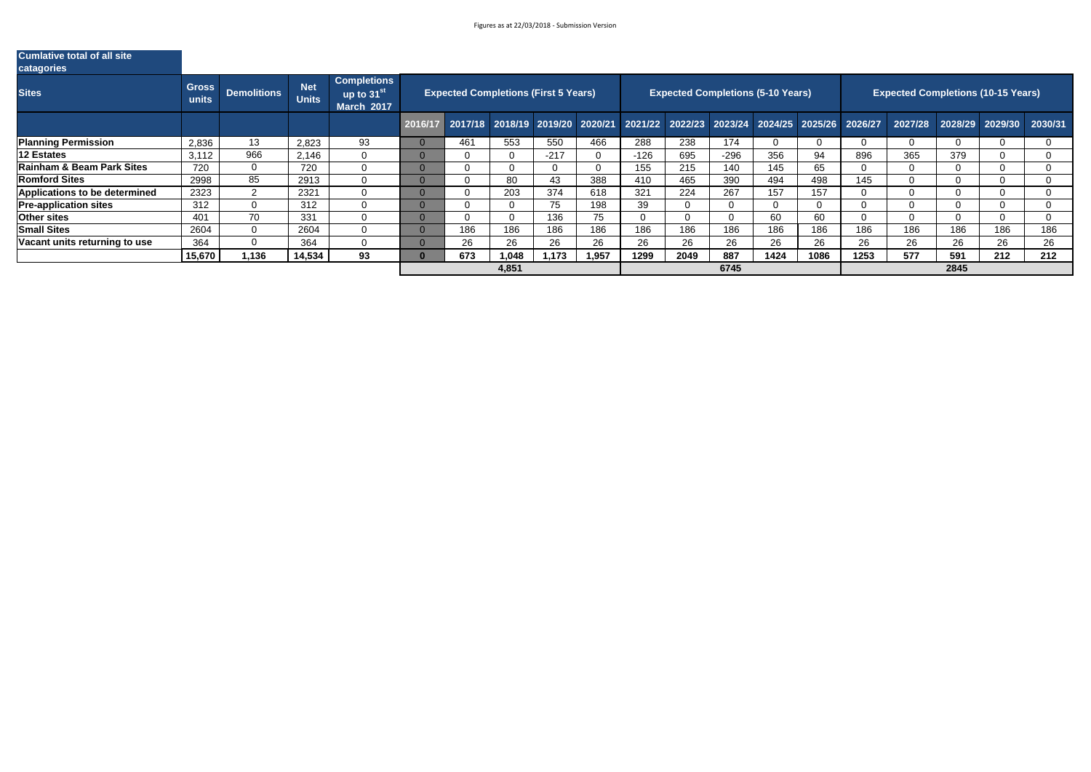| <b>Cumlative total of all site</b><br>catagories |                       |                    |                            |                                                     |     |                                             |        |       |                                                                                         |      |                                          |      |      |      |                                           |      |                         |     |
|--------------------------------------------------|-----------------------|--------------------|----------------------------|-----------------------------------------------------|-----|---------------------------------------------|--------|-------|-----------------------------------------------------------------------------------------|------|------------------------------------------|------|------|------|-------------------------------------------|------|-------------------------|-----|
| <b>Sites</b>                                     | <b>Gross</b><br>units | <b>Demolitions</b> | <b>Net</b><br><b>Units</b> | Completions<br>up to $31^{st}$<br><b>March 2017</b> |     | <b>Expected Completions (First 5 Years)</b> |        |       |                                                                                         |      | <b>Expected Completions (5-10 Years)</b> |      |      |      | <b>Expected Completions (10-15 Years)</b> |      |                         |     |
|                                                  |                       |                    |                            |                                                     |     |                                             |        |       | 2016/17 2017/18 2018/19 2019/20 2020/21 2021/22 2022/23 2023/24 2024/25 2025/26 2026/27 |      |                                          |      |      |      | 2027/28                                   |      | 2028/29 2029/30 2030/31 |     |
| <b>Planning Permission</b>                       | 2,836                 | 13                 | 2,823                      | 93                                                  | 461 | 553                                         | 550    | 466   | 288                                                                                     | 238  | 174                                      | -0   |      |      | $\overline{0}$                            |      |                         |     |
| <b>12 Estates</b>                                | 3,112                 | 966                | 2,146                      | $\overline{0}$                                      |     |                                             | $-217$ |       | $-126$                                                                                  | 695  | $-296$                                   | 356  | 94   | 896  | 365                                       | 379  |                         |     |
| <b>Rainham &amp; Beam Park Sites</b>             | 720                   | $\overline{0}$     | 720                        | $\overline{0}$                                      |     |                                             |        |       | 155                                                                                     | 215  | 140                                      | 145  | 65   |      | $\Omega$                                  |      |                         |     |
| <b>Romford Sites</b>                             | 2998                  | 85                 | 2913                       | $\overline{0}$                                      |     | 80                                          | 43     | 388   | 410                                                                                     | 465  | 390                                      | 494  | 498  | 145  | $\Omega$                                  |      |                         |     |
| <b>Applications to be determined</b>             | 2323                  |                    | 2321                       | 0                                                   |     | 203                                         | 374    | 618   | 321                                                                                     | 224  | 267                                      | 157  | 157  |      | $\Omega$                                  |      |                         |     |
| <b>Pre-application sites</b>                     | 312                   |                    | 312                        | $\overline{0}$                                      |     |                                             | 75     | 198   | 39                                                                                      |      |                                          |      |      |      | $\Omega$                                  |      |                         |     |
| <b>Other sites</b>                               | 401                   | 70                 | 331                        | $\overline{0}$                                      |     |                                             | 136    | 75    | $\overline{0}$                                                                          |      | 0                                        | 60   | 60   |      | $\Omega$                                  |      |                         |     |
| <b>Small Sites</b>                               | 2604                  |                    | 2604                       | $\overline{0}$                                      | 186 | 186                                         | 186    | 186   | 186                                                                                     | 186  | 186                                      | 186  | 186  | 186  | 186                                       | 186  | 186                     | 186 |
| Vacant units returning to use                    | 364                   |                    | 364                        | $\overline{0}$                                      | 26  | 26                                          | 26     | 26    | 26                                                                                      | 26   | 26                                       | 26   | 26   | 26   | 26                                        | 26   | 26                      | 26  |
|                                                  | 15,670                | 1,136              | 14,534                     | 93                                                  | 673 | 1,048                                       | 1,173  | 1,957 | 1299                                                                                    | 2049 | 887                                      | 1424 | 1086 | 1253 | 577                                       | 591  | 212                     | 212 |
|                                                  |                       |                    |                            |                                                     |     | 4,851                                       |        |       |                                                                                         |      | 6745                                     |      |      |      |                                           | 2845 |                         |     |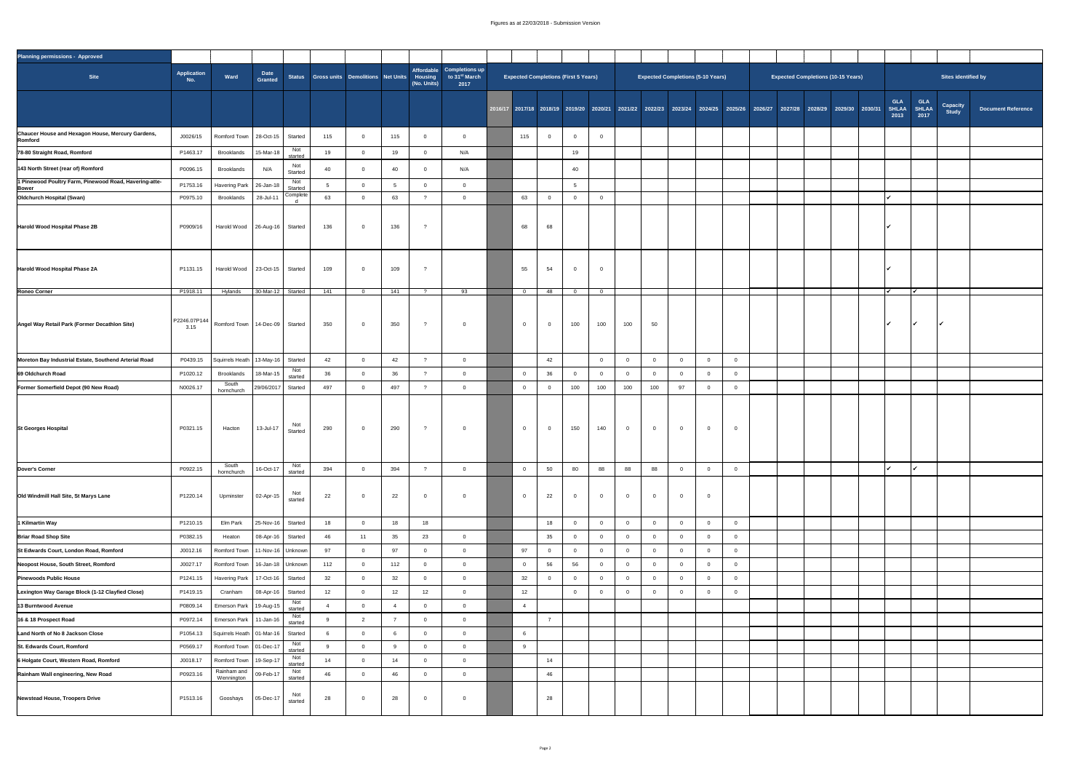## Figures as at 22/03/2018 - Submission Version



| <b>Planning permissions - Approved</b>                              |                      |                                                                                                     |                                   |                       |     |                                                  |              |                |                                                         |        |                 |                                             |           |     |                                          |                |          |  |  |                                                                                                                         |                                    |                             |                           |                    |
|---------------------------------------------------------------------|----------------------|-----------------------------------------------------------------------------------------------------|-----------------------------------|-----------------------|-----|--------------------------------------------------|--------------|----------------|---------------------------------------------------------|--------|-----------------|---------------------------------------------|-----------|-----|------------------------------------------|----------------|----------|--|--|-------------------------------------------------------------------------------------------------------------------------|------------------------------------|-----------------------------|---------------------------|--------------------|
| <b>Site</b>                                                         | Application<br>No.   | Ward                                                                                                | <b>Date</b><br><b>Granted</b>     |                       |     | Status Gross units Demolitions Net Units Housing |              | (No. Units)    | Affordable Completions up<br>to $31^{st}$ March<br>2017 |        |                 | <b>Expected Completions (First 5 Years)</b> |           |     | <b>Expected Completions (5-10 Years)</b> |                |          |  |  | <b>Expected Completions (10-15 Years)</b>                                                                               |                                    |                             | Sites identified by       |                    |
|                                                                     |                      |                                                                                                     |                                   |                       |     |                                                  |              |                |                                                         |        |                 |                                             |           |     |                                          |                |          |  |  | 2016/17 2017/18 2018/19 2019/20 2020/21 2021/22 2022/23 2023/24 2024/25 2025/26 2026/27 2027/28 2028/29 2029/30 2030/31 | <b>GLA</b><br><b>SHLAA</b><br>2013 | <b>GLA</b><br>SHLAA<br>2017 | <b>Capacity<br/>Study</b> | <b>Document Re</b> |
| <b>Chaucer House and Hexagon House, Mercury Gardens,</b><br>Romford | J0026/15             | Romford Town   28-Oct-15   Started                                                                  |                                   |                       | 115 | - റ                                              | 115          | $\Omega$       |                                                         | 115    |                 | $\overline{0}$                              |           |     |                                          |                |          |  |  |                                                                                                                         |                                    |                             |                           |                    |
| 78-80 Straight Road, Romford                                        | P1463.17             | <b>Brooklands</b>                                                                                   | 15-Mar-18                         | Not<br>started        | 19  |                                                  | 19           |                | N/A                                                     |        |                 | 19                                          |           |     |                                          |                |          |  |  |                                                                                                                         |                                    |                             |                           |                    |
| 143 North Street (rear of) Romford                                  | P0096.15             | <b>Brooklands</b>                                                                                   | N/A                               | Not<br><b>Started</b> | 40  |                                                  | 40           |                | N/A                                                     |        |                 | 40                                          |           |     |                                          |                |          |  |  |                                                                                                                         |                                    |                             |                           |                    |
| 1 Pinewood Poultry Farm, Pinewood Road, Havering-atte-              | P1753.16             | Havering Park   26-Jan-18                                                                           |                                   | Not<br><b>Started</b> |     |                                                  |              |                |                                                         |        |                 |                                             |           |     |                                          |                |          |  |  |                                                                                                                         |                                    |                             |                           |                    |
| <b>Bower</b><br><b>Oldchurch Hospital (Swan)</b>                    | P0975.10             | <b>Brooklands</b>                                                                                   | 28-Jul-11                         | Complete              | 63  |                                                  | 63           |                |                                                         | 63     |                 | $\overline{0}$                              |           |     |                                          |                |          |  |  |                                                                                                                         |                                    |                             |                           |                    |
|                                                                     |                      |                                                                                                     |                                   |                       |     |                                                  |              |                |                                                         |        |                 |                                             |           |     |                                          |                |          |  |  |                                                                                                                         |                                    |                             |                           |                    |
| Harold Wood Hospital Phase 2B                                       | P0909/16             | Harold Wood   26-Aug-16   Started                                                                   |                                   |                       | 136 | $\overline{0}$                                   | 136          |                |                                                         | 68     | 68              |                                             |           |     |                                          |                |          |  |  |                                                                                                                         |                                    |                             |                           |                    |
| Harold Wood Hospital Phase 2A                                       | P1131.15             | Harold Wood   23-Oct-15   Started                                                                   |                                   |                       | 109 |                                                  | 109          |                |                                                         | 55     | 54              | $\overline{0}$                              |           |     |                                          |                |          |  |  |                                                                                                                         |                                    |                             |                           |                    |
| <b>Roneo Corner</b>                                                 | P1918.11             | Hylands                                                                                             | 30-Mar-12 $\vert$                 | <b>Started</b>        | 141 |                                                  | 141          |                | 93                                                      | $\cap$ | 48              | $\cap$                                      | $\bigcap$ |     |                                          |                |          |  |  |                                                                                                                         |                                    |                             |                           |                    |
| Angel Way Retail Park (Former Decathlon Site)                       | P2246.07P144<br>3.15 | Romford Town   14-Dec-09   Started                                                                  |                                   |                       | 350 | - ೧                                              | 350          |                |                                                         |        |                 | 100                                         | 100       | 100 | 50                                       |                |          |  |  |                                                                                                                         |                                    |                             |                           |                    |
| Moreton Bay Industrial Estate, Southend Arterial Road               | P0439.15             | Squirrels Heath   13-May-16   Started                                                               |                                   |                       | 42  |                                                  | 42           |                |                                                         |        | 42              |                                             |           |     |                                          | $\Omega$       |          |  |  |                                                                                                                         |                                    |                             |                           |                    |
| 69 Oldchurch Road                                                   | P1020.12             | <b>Brooklands</b>                                                                                   | 18-Mar-15 $ $                     | Not<br>started        | 36  |                                                  | 36           |                |                                                         |        | 36              |                                             |           |     |                                          |                |          |  |  |                                                                                                                         |                                    |                             |                           |                    |
| <b>Former Somerfield Depot (90 New Road)</b>                        | N0026.17             | South<br>hornchurch                                                                                 | 29/06/2017 Started                |                       | 497 |                                                  | 497          |                |                                                         |        |                 | 100                                         | 100       | 100 | 100                                      | 97             |          |  |  |                                                                                                                         |                                    |                             |                           |                    |
| St Georges Hospital                                                 | P0321.15             | Hacton                                                                                              | 13-Jul-17                         | Not<br><b>Started</b> | 290 | - 0                                              | 290          |                |                                                         |        |                 | 150                                         | 140       |     |                                          | $\overline{0}$ | $\Omega$ |  |  |                                                                                                                         |                                    |                             |                           |                    |
| <b>Dover's Corner</b>                                               | P0922.15             | South<br>hornchurch                                                                                 | 16-Oct-17                         | Not<br>started        | 394 |                                                  | 394          |                |                                                         |        | 50              | 80                                          | 88        | 88  | 88                                       |                |          |  |  |                                                                                                                         |                                    |                             |                           |                    |
| Old Windmill Hall Site, St Marys Lane                               | P1220.14             | Upminster                                                                                           | $\vert$ 02-Apr-15 $\vert$         | Not<br>started        | 22  |                                                  | 22           | $\overline{0}$ |                                                         |        | 22              | $\overline{0}$                              |           |     |                                          | $\overline{0}$ |          |  |  |                                                                                                                         |                                    |                             |                           |                    |
| 1 Kilmartin Way                                                     | P1210.15             | Elm Park                                                                                            | $ 25$ -Nov-16 Started             |                       | 18  |                                                  | 18           | 18             |                                                         |        | 18              |                                             |           |     |                                          |                |          |  |  |                                                                                                                         |                                    |                             |                           |                    |
| <b>Briar Road Shop Site</b>                                         | P0382.15             | Heaton                                                                                              | $\vert$ 08-Apr-16 $\vert$ Started |                       | 46  |                                                  | 35           | 23             |                                                         |        | 35 <sub>5</sub> |                                             |           |     |                                          |                |          |  |  |                                                                                                                         |                                    |                             |                           |                    |
| St Edwards Court, London Road, Romford                              | J0012.16             | Romford Town   11-Nov-16   Unknown                                                                  |                                   |                       | 97  |                                                  | 97           |                |                                                         | Q7     |                 |                                             |           |     |                                          |                |          |  |  |                                                                                                                         |                                    |                             |                           |                    |
| Neopost House, South Street, Romford                                | J0027.17             | Romford Town   16-Jan-18   Unknown                                                                  |                                   |                       | 112 |                                                  | 112          |                |                                                         |        | 56              | 56                                          |           |     |                                          |                |          |  |  |                                                                                                                         |                                    |                             |                           |                    |
| <b>Pinewoods Public House</b>                                       | P1241.15             | Havering Park   17-Oct-16   Started                                                                 |                                   |                       | 32  |                                                  | 32           |                |                                                         | 32     |                 |                                             |           |     |                                          |                |          |  |  |                                                                                                                         |                                    |                             |                           |                    |
| Lexington Way Garage Block (1-12 Clayfied Close)                    | P1419.15             | Cranham                                                                                             | $\vert$ 08-Apr-16 $\vert$         | <b>Started</b>        | 12  |                                                  | 12           | 12             |                                                         | 12     |                 |                                             |           |     |                                          |                |          |  |  |                                                                                                                         |                                    |                             |                           |                    |
| 13 Burntwood Avenue                                                 | P0809.14             | Emerson Park   19-Aug-15                                                                            |                                   | Not<br>started        |     |                                                  |              |                |                                                         |        |                 |                                             |           |     |                                          |                |          |  |  |                                                                                                                         |                                    |                             |                           |                    |
| 16 & 18 Prospect Road                                               | P0972.14             | Emerson Park   11-Jan-16 <sup> </sup>                                                               |                                   | Not<br>started        |     |                                                  |              |                |                                                         |        |                 |                                             |           |     |                                          |                |          |  |  |                                                                                                                         |                                    |                             |                           |                    |
| Land North of No 8 Jackson Close                                    | P1054.13             | Squirrels Heath   01-Mar-16                                                                         |                                   | <b>Started</b>        |     |                                                  | $\mathbf{o}$ |                |                                                         |        |                 |                                             |           |     |                                          |                |          |  |  |                                                                                                                         |                                    |                             |                           |                    |
| <b>St. Edwards Court, Romford</b>                                   | P0569.17             | $\vert$ Romford Town $\vert$ 01-Dec-17                                                              |                                   | Not<br>started<br>Not |     |                                                  |              |                |                                                         |        |                 |                                             |           |     |                                          |                |          |  |  |                                                                                                                         |                                    |                             |                           |                    |
| 6 Holgate Court, Western Road, Romford                              | J0018.17             | Romford Town   19-Sep-17                                                                            |                                   | started<br>Not        | 14  |                                                  | 14           |                |                                                         |        | 14              |                                             |           |     |                                          |                |          |  |  |                                                                                                                         |                                    |                             |                           |                    |
| Rainham Wall engineering, New Road                                  | P0923.16             | $\begin{array}{c c c c c} \hline \text{Rainham and} & \text{09-Feb-17} & \end{array}$<br>Wennington |                                   | started               | 46  |                                                  | 46           |                |                                                         |        | 46              |                                             |           |     |                                          |                |          |  |  |                                                                                                                         |                                    |                             |                           |                    |
| Newstead House, Troopers Drive                                      | P1513.16             | Gooshays                                                                                            | $\vert$ 05-Dec-17                 | Not<br>started        | 28  | $\overline{0}$                                   | 28           | $\overline{0}$ |                                                         |        | 28              |                                             |           |     |                                          |                |          |  |  |                                                                                                                         |                                    |                             |                           |                    |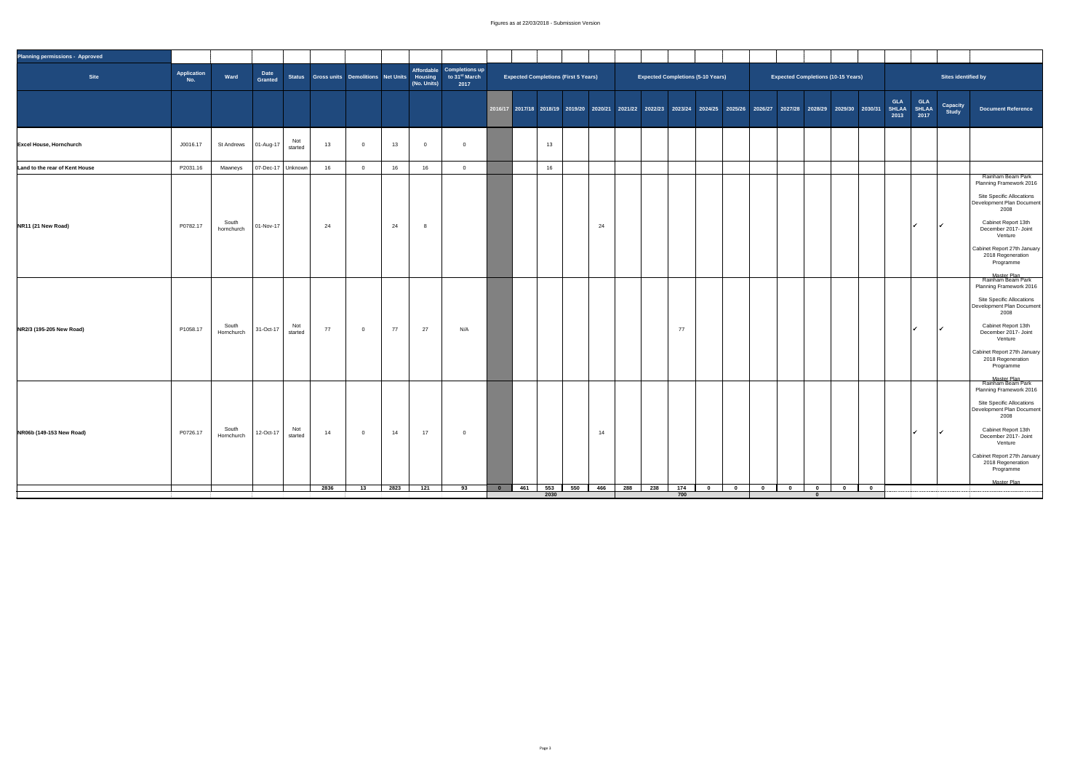## Figures as at 22/03/2018 - Submission Version

| <b>Planning permissions - Approved</b> |                       |                     |                              |                |      |                |      |             |                                                                                                                 |                         |                                             |                 |            |     |     |     |                                          |                         |                                                                                                                                                    |                                                    |                         |               |                                                       |                                                                                                                                                                                                                                                                      |
|----------------------------------------|-----------------------|---------------------|------------------------------|----------------|------|----------------|------|-------------|-----------------------------------------------------------------------------------------------------------------|-------------------------|---------------------------------------------|-----------------|------------|-----|-----|-----|------------------------------------------|-------------------------|----------------------------------------------------------------------------------------------------------------------------------------------------|----------------------------------------------------|-------------------------|---------------|-------------------------------------------------------|----------------------------------------------------------------------------------------------------------------------------------------------------------------------------------------------------------------------------------------------------------------------|
| <b>Site</b>                            | Application<br>$N$ o. | Ward                | Date<br>Granted              |                |      |                |      | (No. Units) | Affordable Completions up<br>Status Gross units Demolitions Net Units Housing to 31 <sup>st</sup> March<br>2017 |                         | <b>Expected Completions (First 5 Years)</b> |                 |            |     |     |     | <b>Expected Completions (5-10 Years)</b> |                         |                                                                                                                                                    | <b>Expected Completions (10-15 Years)</b>          |                         |               | Sites identified by                                   |                                                                                                                                                                                                                                                                      |
|                                        |                       |                     |                              |                |      |                |      |             |                                                                                                                 |                         |                                             |                 |            |     |     |     |                                          |                         | _2016/17 <mark>2017/18 2018/19 2019/20 2020/21 2021/22 2022/2</mark> 3 2023/24 2024/25 2025/26 2026/27 2027/28 2028/29 2029/30 2030/31 SHLAA SHLAA |                                                    |                         | GLA<br>2013   | <b>GLA</b><br><b>Capacity</b><br><b>Study</b><br>2017 | <b>Document Reference</b>                                                                                                                                                                                                                                            |
| <b>Excel House, Hornchurch</b>         | J0016.17              |                     | St Andrews   01-Aug-17       | Not<br>started | 13   | $\overline{0}$ | 13   |             |                                                                                                                 |                         |                                             | 13 <sup>°</sup> |            |     |     |     |                                          |                         |                                                                                                                                                    |                                                    |                         |               |                                                       |                                                                                                                                                                                                                                                                      |
| Land to the rear of Kent House         | P2031.16              | Mawneys             | $\sqrt{07 - Dec-17}$ Unknown |                | 16   | $\overline{0}$ | 16   | 16          |                                                                                                                 |                         |                                             | 16              |            |     |     |     |                                          |                         |                                                                                                                                                    |                                                    |                         |               |                                                       |                                                                                                                                                                                                                                                                      |
|                                        |                       |                     |                              |                |      |                |      |             |                                                                                                                 |                         |                                             |                 |            |     |     |     |                                          |                         |                                                                                                                                                    |                                                    |                         |               |                                                       | Rainham Beam Park<br><b>Planning Framework 20</b><br>Site Specific Allocation<br>Development Plan Docum<br>2008                                                                                                                                                      |
| NR11 (21 New Road)                     | P0782.17              | South<br>hornchurch | 01-Nov-17                    |                | 24   |                | 24   |             |                                                                                                                 |                         |                                             |                 | 24         |     |     |     |                                          |                         |                                                                                                                                                    |                                                    |                         | $\mathscr{L}$ | $\overline{\mathcal{A}}$                              | <b>Cabinet Report 13th</b><br>December 2017- Joint<br>Venture<br>Cabinet Report 27th Janu<br>2018 Regeneration<br>Programme                                                                                                                                          |
| NR2/3 (195-205 New Road)               | P1058.17              | South<br>Hornchurch | 31-Oct-17                    | Not<br>started | 77   | $\overline{0}$ | 77   | 27          | N/A                                                                                                             |                         |                                             |                 |            |     |     | 77  |                                          |                         |                                                                                                                                                    |                                                    |                         |               | $\overline{\mathcal{A}}$                              | Master Plan<br>Rainham Beam Park<br><b>Planning Framework 20</b><br>Site Specific Allocation<br>Development Plan Docum<br>2008<br><b>Cabinet Report 13th</b><br>December 2017- Joint<br>Venture<br>Cabinet Report 27th Janu<br>2018 Regeneration<br>Programme        |
| NR06b (149-153 New Road)               | P0726.17              | South<br>Hornchurch | 12-Oct-17                    | Not<br>started | 14   | $\Omega$       | 14   | 17          |                                                                                                                 |                         |                                             |                 | 14         |     |     |     |                                          |                         |                                                                                                                                                    |                                                    |                         |               | $\overline{\mathcal{A}}$                              | Master Plan<br>Rainham Beam Park<br><b>Planning Framework 20</b><br><b>Site Specific Allocation</b><br>Development Plan Docum<br>2008<br><b>Cabinet Report 13th</b><br>December 2017- Joint<br>Venture<br>Cabinet Report 27th Janu<br>2018 Regeneration<br>Programme |
|                                        |                       |                     |                              |                | 2836 | 13             | 2823 | 121         | 93                                                                                                              | $\overline{\mathbf{0}}$ | 461                                         | 553             | 550<br>466 | 288 | 238 | 174 | $\bf{0}$                                 | $\overline{\mathbf{0}}$ | $\overline{\mathbf{0}}$<br>$\overline{\mathbf{0}}$                                                                                                 | $\overline{\mathbf{0}}$<br>$\overline{\mathbf{0}}$ | $\overline{\mathbf{0}}$ |               |                                                       | Master Plan                                                                                                                                                                                                                                                          |
|                                        |                       |                     |                              |                |      |                |      |             |                                                                                                                 |                         |                                             | 2030            |            |     |     | 700 |                                          |                         |                                                                                                                                                    |                                                    |                         |               |                                                       |                                                                                                                                                                                                                                                                      |

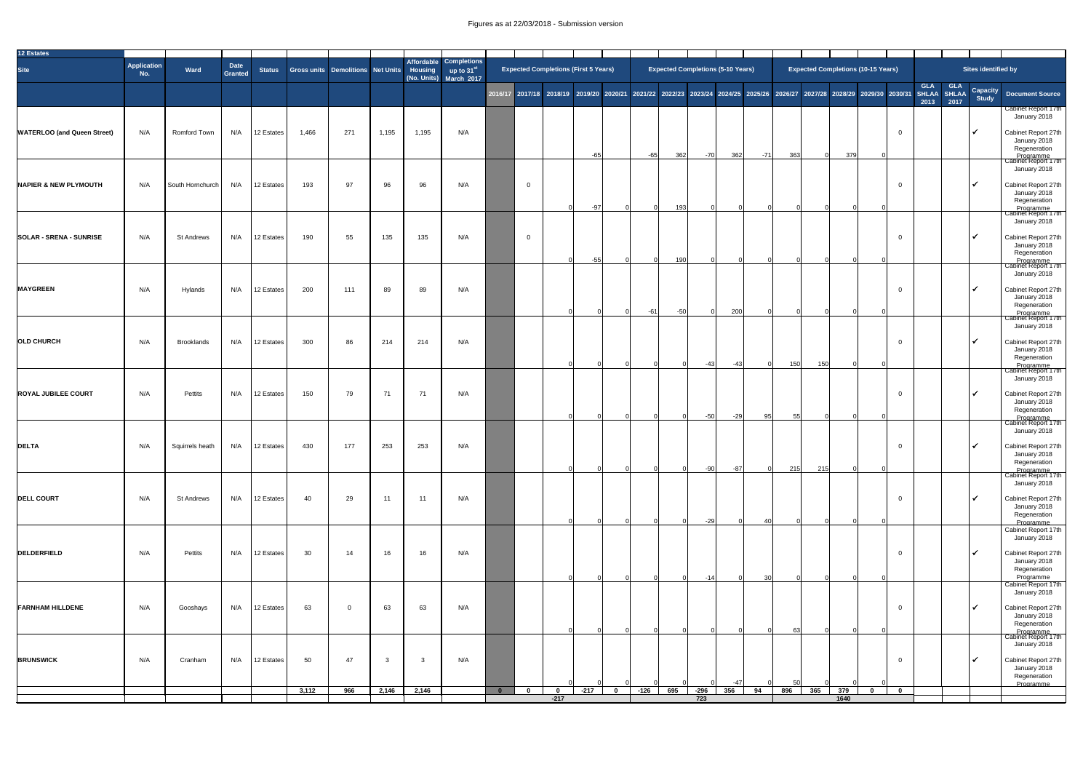## Figures as at 22/03/2018 - Submission version

| 12 Estates                         |                           |                     |                               |               |                                   |     |              |                |                                                                              |                         |                                             |        |          |        |                  |                                          |       |                 |                                                                                                                                     |             |                          |                    |                    |                           |                                                                                             |
|------------------------------------|---------------------------|---------------------|-------------------------------|---------------|-----------------------------------|-----|--------------|----------------|------------------------------------------------------------------------------|-------------------------|---------------------------------------------|--------|----------|--------|------------------|------------------------------------------|-------|-----------------|-------------------------------------------------------------------------------------------------------------------------------------|-------------|--------------------------|--------------------|--------------------|---------------------------|---------------------------------------------------------------------------------------------|
| <b>Site</b>                        | <b>Application</b><br>No. | Ward                | <b>Date</b><br><b>Granted</b> | <b>Status</b> | Gross units Demolitions Net Units |     |              | <b>Housing</b> | Affordable Completions<br>$\frac{1}{2}$ up to 31st<br>(No. Units) March 2017 |                         | <b>Expected Completions (First 5 Years)</b> |        |          |        |                  | <b>Expected Completions (5-10 Years)</b> |       |                 | <b>Expected Completions (10-15 Years)</b>                                                                                           |             |                          |                    |                    | Sites identified by       |                                                                                             |
|                                    |                           |                     |                               |               |                                   |     |              |                |                                                                              |                         |                                             |        |          |        |                  |                                          |       |                 | 2016/17 2017/18 2018/19 2019/20 2020/21 2021/22 2022/23 2023/24 2024/25 2025/26 2026/27 2027/28 2028/29 2029/30 2030/31 SHLAA SHLAA |             |                          | <b>GLA</b><br>2013 | <b>GLA</b><br>2017 | <b>Capacity<br/>Study</b> | <b>Document Source</b>                                                                      |
|                                    |                           |                     |                               |               |                                   |     |              |                |                                                                              |                         |                                             |        |          |        |                  |                                          |       |                 |                                                                                                                                     |             |                          |                    |                    |                           | <b>Cabinet Report 17th</b><br>January 2018                                                  |
| <b>WATERLOO (and Queen Street)</b> | N/A                       | <b>Romford Town</b> | N/A                           | 12 Estates    | 1,466                             | 271 | 1,195        | 1,195          | N/A                                                                          |                         |                                             | $-65$  |          | $-65$  | 362              | $-70$                                    | 362   | $-71$           | 363                                                                                                                                 | 379         | -0                       |                    |                    | $\overline{\mathcal{V}}$  | Cabinet Report 27th<br>January 2018<br>Regeneration<br>Programme<br>Cabinet Report 17th     |
| NAPIER & NEW PLYMOUTH              | N/A                       | South Hornchurch    | N/A                           | 12 Estates    | 193                               | 97  | 96           | 96             | N/A                                                                          |                         | $\overline{0}$                              |        |          |        |                  |                                          |       |                 |                                                                                                                                     |             |                          |                    |                    |                           | January 2018<br>Cabinet Report 27th<br>January 2018                                         |
|                                    |                           |                     |                               |               |                                   |     |              |                |                                                                              |                         |                                             | $-97$  |          |        | 193 <sup>1</sup> |                                          |       |                 |                                                                                                                                     |             |                          |                    |                    |                           | Regeneration<br>Programme<br>Cabinet Report 17th<br>January 2018                            |
| <b>SOLAR - SRENA - SUNRISE</b>     | N/A                       | <b>St Andrews</b>   | N/A                           | 12 Estates    | 190                               | 55  | 135          | 135            | N/A                                                                          |                         | $\overline{0}$                              | $-55$  |          |        | 190              |                                          |       |                 |                                                                                                                                     |             | -0                       |                    |                    | $\sqrt{ }$                | Cabinet Report 27th<br>January 2018<br>Regeneration                                         |
| <b>MAYGREEN</b>                    | N/A                       | Hylands             | N/A                           | 12 Estates    | 200                               | 111 | 89           | 89             | N/A                                                                          |                         |                                             |        |          |        |                  |                                          |       |                 |                                                                                                                                     |             | $\overline{0}$           |                    |                    | $\overline{\mathcal{L}}$  | Programme<br>Cabinet Report 17th<br>January 2018<br>Cabinet Report 27th<br>January 2018     |
|                                    |                           |                     |                               |               |                                   |     |              |                |                                                                              |                         |                                             |        |          | $-61$  | $-50$            |                                          | 200   |                 |                                                                                                                                     |             |                          |                    |                    |                           | Regeneration<br>Programme<br>Cabinet Report 17th<br>January 2018                            |
| <b>OLD CHURCH</b>                  | N/A                       | <b>Brooklands</b>   | N/A                           | 12 Estates    | 300                               | 86  | 214          | 214            | N/A                                                                          |                         |                                             |        |          |        |                  | $-43$                                    | $-43$ |                 | 150<br>150                                                                                                                          |             | $\mathbf{0}$             |                    |                    | ▎✓                        | Cabinet Report 27th<br>January 2018<br>Regeneration                                         |
| <b>ROYAL JUBILEE COURT</b>         | N/A                       | Pettits             | N/A                           | 12 Estates    | 150                               | 79  | 71           | 71             | N/A                                                                          |                         |                                             |        |          |        |                  |                                          |       |                 |                                                                                                                                     |             | 0                        |                    |                    | ▎✓                        | Programme<br>Cabinet Report 17th<br>January 2018<br>Cabinet Report 27th                     |
|                                    |                           |                     |                               |               |                                   |     |              |                |                                                                              |                         |                                             |        |          |        |                  | $-50$                                    | $-29$ | 95              | 55                                                                                                                                  |             |                          |                    |                    |                           | January 2018<br>Regeneration<br>Programme ___<br>Cabinet Report 17th                        |
| <b>DELTA</b>                       | N/A                       | Squirrels heath     | N/A                           | 12 Estates    | 430                               | 177 | 253          | 253            | N/A                                                                          |                         |                                             |        |          |        |                  |                                          |       |                 |                                                                                                                                     |             | $\Omega$                 |                    |                    | $\sqrt{ }$                | January 2018<br>Cabinet Report 27th<br>January 2018<br>Regeneration                         |
|                                    |                           |                     |                               |               |                                   |     |              |                |                                                                              |                         |                                             |        |          |        |                  | $-90$                                    | $-87$ |                 | 215<br>215                                                                                                                          |             |                          |                    |                    | $\overline{\mathcal{V}}$  | Programme<br>Cabinet Report 17th<br>January 2018                                            |
| <b>DELL COURT</b>                  | N/A                       | <b>St Andrews</b>   | N/A                           | 12 Estates    | 40                                | 29  | 11           | 11             | N/A                                                                          |                         |                                             |        |          |        |                  |                                          |       |                 |                                                                                                                                     |             | $\Omega$                 |                    |                    |                           | Cabinet Report 27th<br>January 2018<br>Regeneration<br>Programme<br>Cabinet Report 17th     |
| DELDERFIELD                        | N/A                       | Pettits             | N/A                           | 12 Estates    | 30                                | 14  | 16           | 16             | N/A                                                                          |                         |                                             |        |          |        |                  |                                          |       |                 |                                                                                                                                     |             | $\overline{0}$           |                    |                    | $\overline{\mathcal{A}}$  | January 2018<br>Cabinet Report 27th<br>January 2018<br>Regeneration                         |
|                                    |                           |                     |                               |               |                                   |     |              |                |                                                                              |                         |                                             |        |          |        |                  | $-14$                                    |       | 30 <sup>l</sup> |                                                                                                                                     |             |                          |                    |                    |                           | Programme<br>Cabinet Report 17th<br>January 2018                                            |
| <b>FARNHAM HILLDENE</b>            | N/A                       | Gooshays            | N/A                           | 12 Estates    | 63                                | - 0 | 63           | 63             | N/A                                                                          |                         |                                             |        |          |        |                  |                                          |       |                 | 63                                                                                                                                  |             | $\overline{0}$           |                    |                    | $\sqrt{2}$                | Cabinet Report 27th<br>January 2018<br>Regeneration<br>Programme  <br>  Cabinet Report 17th |
| <b>BRUNSWICK</b>                   | N/A                       | Cranham             | N/A                           | 12 Estates    | 50                                | 47  | $\mathbf{3}$ | $\overline{3}$ | N/A                                                                          |                         |                                             |        |          |        |                  |                                          |       |                 |                                                                                                                                     |             | $\overline{0}$           |                    |                    | $\overline{\mathcal{V}}$  | January 2018<br>Cabinet Report 27th<br>January 2018                                         |
|                                    |                           |                     |                               |               | 3,112                             | 966 | 2,146        | 2,146          |                                                                              | $\overline{\mathbf{0}}$ | $\bf{0}$<br>$\mathbf{0}$<br>$-217$          | $-217$ | $\bf{0}$ | $-126$ | 695              | $-296$<br>723                            | 356   | 94              | 50<br>896<br>365                                                                                                                    | 379<br>1640 | $\mathbf{0}$<br>$\bf{0}$ |                    |                    |                           | Regeneration<br>Programme                                                                   |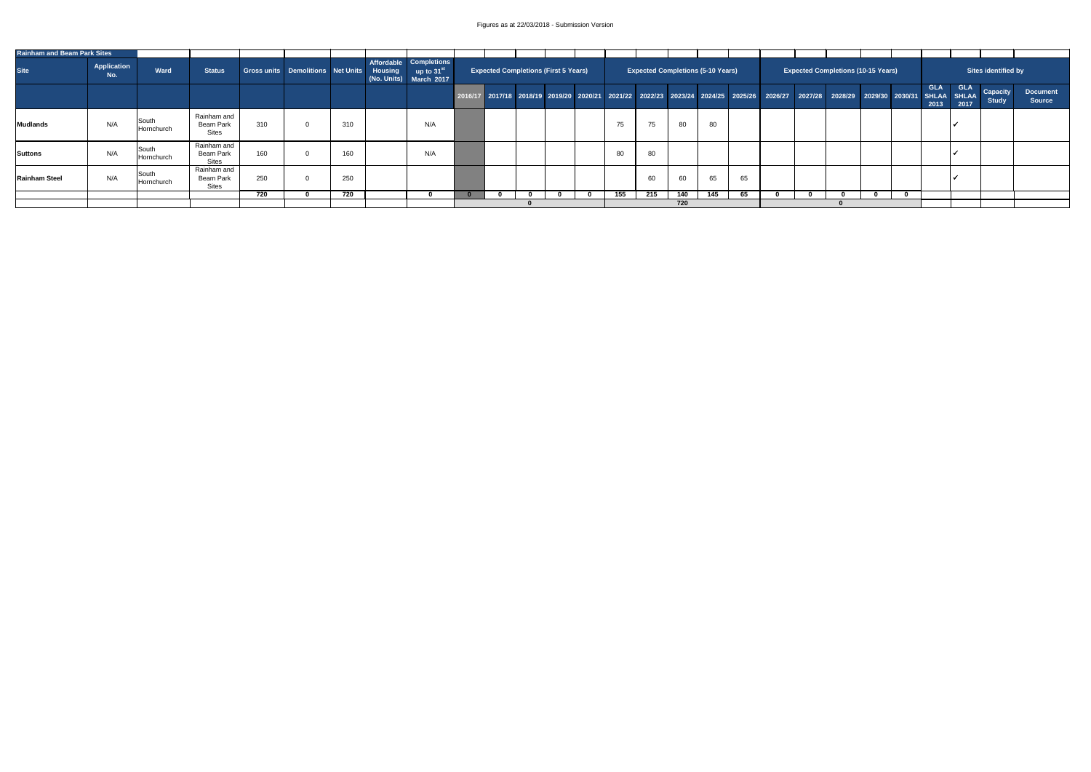| <b>Rainham and Beam Park Sites</b> |                    |                     |                                                 |     |                                           |     |                                                                            |                                             |  |     |                                          |     |     |    |  |                                           |  |                    |                    |                                 |                                  |
|------------------------------------|--------------------|---------------------|-------------------------------------------------|-----|-------------------------------------------|-----|----------------------------------------------------------------------------|---------------------------------------------|--|-----|------------------------------------------|-----|-----|----|--|-------------------------------------------|--|--------------------|--------------------|---------------------------------|----------------------------------|
| <b>Site</b>                        | Application<br>No. | Ward                | <b>Status</b>                                   |     | Gross units Demolitions Net Units Housing |     | Affordable Completions<br>up to 31 $^{\rm st}$ .<br>(No. Units) March 2017 | <b>Expected Completions (First 5 Years)</b> |  |     | <b>Expected Completions (5-10 Years)</b> |     |     |    |  | <b>Expected Completions (10-15 Years)</b> |  |                    |                    | Sites identified by             |                                  |
|                                    |                    |                     |                                                 |     |                                           |     |                                                                            |                                             |  |     |                                          |     |     |    |  |                                           |  | <b>GLA</b><br>2013 | <b>GLA</b><br>2017 | <b>Capacity</b><br><b>Study</b> | <b>Document</b><br><b>Source</b> |
| Mudlands                           | N/A                | South<br>Hornchurch | Rainham and<br>Beam Park<br><b>Sites</b>        | 310 |                                           | 310 | N/A                                                                        |                                             |  | 75  | 75                                       | 80  | 80  |    |  |                                           |  |                    |                    |                                 |                                  |
| Suttons                            | N/A                | South<br>Hornchurch | Rainham and<br><b>Beam Park</b><br><b>Sites</b> | 160 |                                           | 160 | N/A                                                                        |                                             |  | 80  | 80                                       |     |     |    |  |                                           |  |                    |                    |                                 |                                  |
| <b>Rainham Steel</b>               | N/A                | South<br>Hornchurch | Rainham and<br><b>Beam Park</b><br><b>Sites</b> | 250 |                                           | 250 |                                                                            |                                             |  |     | 60                                       | 60  | 65  | 65 |  |                                           |  |                    |                    |                                 |                                  |
|                                    |                    |                     |                                                 | 720 |                                           | 720 |                                                                            |                                             |  | 155 | 215                                      | 140 | 145 | 65 |  |                                           |  |                    |                    |                                 |                                  |
|                                    |                    |                     |                                                 |     |                                           |     |                                                                            |                                             |  |     |                                          | 720 |     |    |  |                                           |  |                    |                    |                                 |                                  |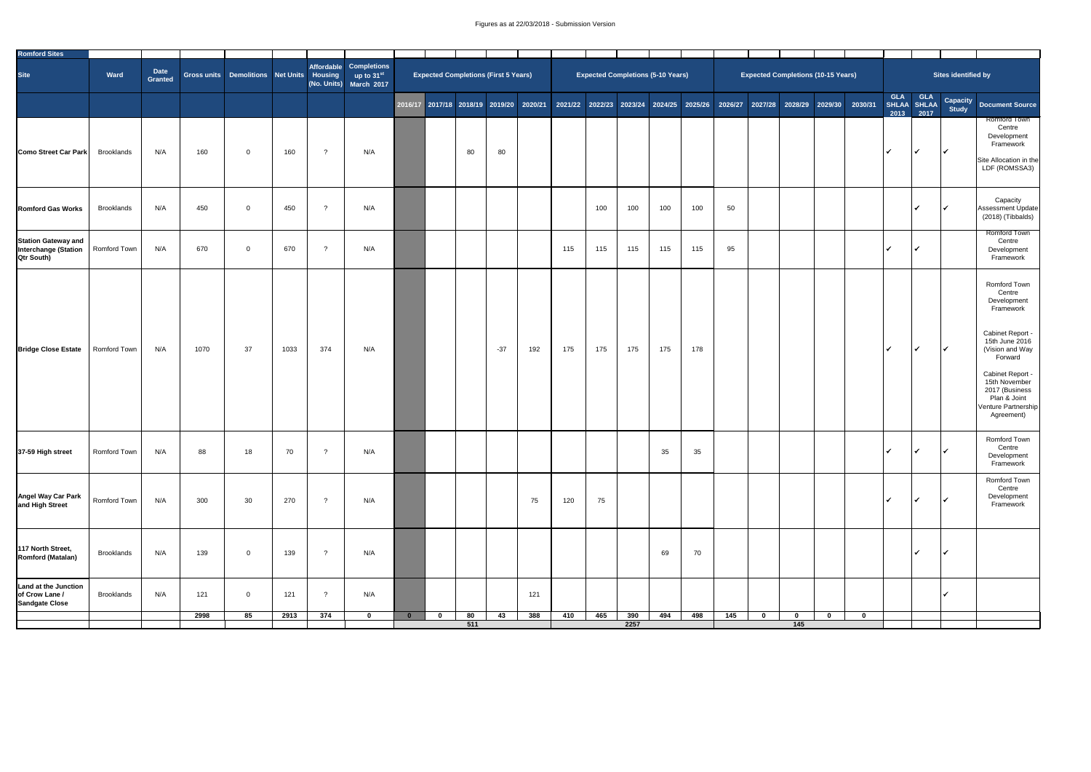| Romford Sites<br>Affordable Completions<br><b>Date</b><br>Site<br>Sites identified by<br><b>Expected Completions (5-10 Years)</b><br><b>Expected Completions (First 5 Years)</b><br><b>Expected Completions (10-15 Years)</b><br>Ward<br>Gross units Demolitions Net Units<br>$\blacksquare$ Housing $\blacksquare$ up to 31st<br><b>Granted</b><br>(No. Units) March 2017<br>GLA GLA<br>SHLAA SHLAA<br>2016/17 2017/18 2018/19 2019/20 2020/21 2021/22 2022/23 2023/24 2024/25 2025/26 2026/27 2027/28 2028/29 2029/30 2030/31<br><b>Study</b><br>2017<br>2013<br>N/A<br>80<br>80<br>160<br>$\overline{\mathbf{v}}$<br>N/A<br><b>Brooklands</b><br>160<br>റ<br>$\Omega$<br>╹Ѵ<br>100<br>N/A<br>100<br>450<br>100<br>100<br>50<br><b>Brooklands</b><br>450<br>$\overline{\mathcal{L}}$<br>N/A<br>റ<br>$\Omega$ | Capacity Document Source<br><b>Romford Town</b><br>Centre<br>Development<br>Framework<br>Site Allocation in the<br>LDF (ROMSSA3)                                                                                                                        |
|----------------------------------------------------------------------------------------------------------------------------------------------------------------------------------------------------------------------------------------------------------------------------------------------------------------------------------------------------------------------------------------------------------------------------------------------------------------------------------------------------------------------------------------------------------------------------------------------------------------------------------------------------------------------------------------------------------------------------------------------------------------------------------------------------------------|---------------------------------------------------------------------------------------------------------------------------------------------------------------------------------------------------------------------------------------------------------|
|                                                                                                                                                                                                                                                                                                                                                                                                                                                                                                                                                                                                                                                                                                                                                                                                                |                                                                                                                                                                                                                                                         |
| <b>Como Street Car Park</b>                                                                                                                                                                                                                                                                                                                                                                                                                                                                                                                                                                                                                                                                                                                                                                                    |                                                                                                                                                                                                                                                         |
| <b>Romford Gas Works</b>                                                                                                                                                                                                                                                                                                                                                                                                                                                                                                                                                                                                                                                                                                                                                                                       |                                                                                                                                                                                                                                                         |
|                                                                                                                                                                                                                                                                                                                                                                                                                                                                                                                                                                                                                                                                                                                                                                                                                | Capacity<br>Assessment Update<br>$(2018)$ (Tibbalds)                                                                                                                                                                                                    |
| <b>Station Gateway and</b><br>Interchange (Station<br>115<br>115<br>N/A<br>670<br>670<br>115<br>95<br>N/A<br>115<br><b>Romford Town</b><br>$\Omega$<br>115<br><b>Qtr South)</b>                                                                                                                                                                                                                                                                                                                                                                                                                                                                                                                                                                                                                                | <b>Romford Town</b><br>Centre<br>Development<br>Framework                                                                                                                                                                                               |
| 374<br><b>Bridge Close Estate</b><br>1070<br>37<br>1033<br>175<br>175<br>$\overline{\mathbf{v}}$<br><b>Romford Town</b><br>N/A<br>$-37$<br>175<br>175<br>178<br>N/A<br>192<br>∣V                                                                                                                                                                                                                                                                                                                                                                                                                                                                                                                                                                                                                               | <b>Romford Town</b><br>Centre<br>Development<br>Framework<br><b>Cabinet Report -</b><br>15th June 2016<br>(Vision and Way<br>Forward<br><b>Cabinet Report -</b><br>15th November<br>2017 (Business<br>Plan & Joint<br>Venture Partnership<br>Agreement) |
| 88<br>35<br>37-59 High street<br><b>Romford Town</b><br>N/A<br>18<br>70<br>35<br>N/A<br>$\Omega$                                                                                                                                                                                                                                                                                                                                                                                                                                                                                                                                                                                                                                                                                                               | <b>Romford Town</b><br>Centre<br>Development<br>Framework                                                                                                                                                                                               |
| <b>Angel Way Car Park</b><br>and High Street<br><b>Romford Town</b><br>N/A<br>300<br>30<br>270<br>75<br>120<br>N/A<br>75<br>$\overline{\mathcal{A}}$<br>$\gamma$                                                                                                                                                                                                                                                                                                                                                                                                                                                                                                                                                                                                                                               | <b>Romford Town</b><br>Centre<br>Development<br>Framework                                                                                                                                                                                               |
| 117 North Street,<br><b>Brooklands</b><br>N/A<br>139<br>69<br>70<br>139<br>N/A<br>$\mathcal{P}$<br>$\Omega$<br><b>Romford (Matalan)</b>                                                                                                                                                                                                                                                                                                                                                                                                                                                                                                                                                                                                                                                                        |                                                                                                                                                                                                                                                         |
| <b>Land at the Junction</b><br>of Crow Lane /<br>N/A<br><b>Brooklands</b><br>121<br>121<br>N/A<br>121<br>റ<br>$\overline{0}$                                                                                                                                                                                                                                                                                                                                                                                                                                                                                                                                                                                                                                                                                   |                                                                                                                                                                                                                                                         |
| <b>Sandgate Close</b><br>2998<br>374<br>388<br>465<br>390<br>85<br>2913<br>80<br>410<br>494<br>498<br>145<br>43<br>$\mathbf 0$<br>$\mathbf{0}$<br>- റ<br>$\bf{0}$                                                                                                                                                                                                                                                                                                                                                                                                                                                                                                                                                                                                                                              |                                                                                                                                                                                                                                                         |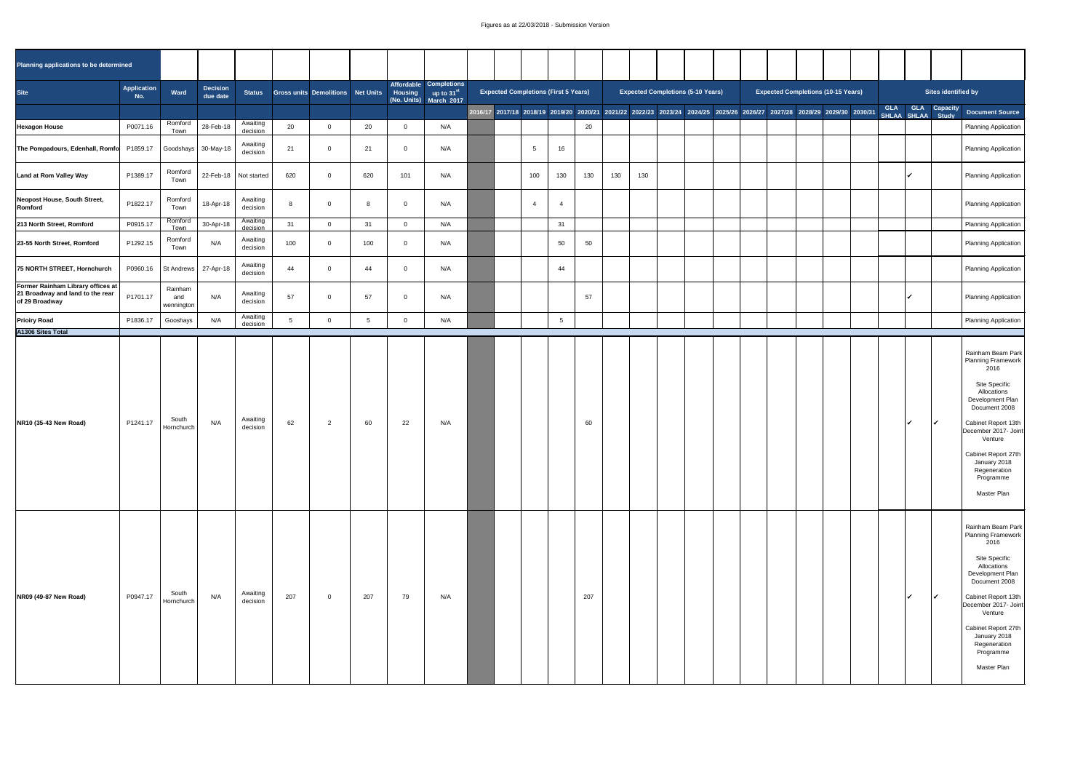| Planning applications to be determined                                                           |                    |                              |                             |                         |     |                                   |     |          |                                                                                           |                                             |     |                |     |     |                                          |  |  |                                                                                                                         |                                 |                                                                                                                                                                                                                                                                                                      |
|--------------------------------------------------------------------------------------------------|--------------------|------------------------------|-----------------------------|-------------------------|-----|-----------------------------------|-----|----------|-------------------------------------------------------------------------------------------|---------------------------------------------|-----|----------------|-----|-----|------------------------------------------|--|--|-------------------------------------------------------------------------------------------------------------------------|---------------------------------|------------------------------------------------------------------------------------------------------------------------------------------------------------------------------------------------------------------------------------------------------------------------------------------------------|
| Site                                                                                             | Application<br>No. | Ward                         | <b>Decision</b><br>due date | <b>Status</b>           |     | Gross units Demolitions Net Units |     |          | Affordable Completions<br><b>Housing</b> up to 31 <sup>st</sup><br>(No. Units) March 2017 | <b>Expected Completions (First 5 Years)</b> |     |                |     |     | <b>Expected Completions (5-10 Years)</b> |  |  | <b>Expected Completions (10-15 Years)</b>                                                                               | Sites identified by             |                                                                                                                                                                                                                                                                                                      |
|                                                                                                  |                    |                              |                             |                         |     |                                   |     |          |                                                                                           |                                             |     |                |     |     |                                          |  |  | 2016/17 2017/18 2018/19 2019/20 2020/21 2021/22 2022/23 2023/24 2024/25 2025/26 2026/27 2027/28 2028/29 2029/30 2030/31 | GLA<br>GLA<br>SHLAA SHLAA Study | Capacity Document Source                                                                                                                                                                                                                                                                             |
| <b>Hexagon House</b>                                                                             | P0071.16           | Romford<br>Town              | 28-Feb-18                   | Awaiting<br>decision    | 20  | <b>U</b>                          | 20  |          | N/A                                                                                       |                                             |     |                | 20  |     |                                          |  |  |                                                                                                                         |                                 | Planning Application                                                                                                                                                                                                                                                                                 |
| The Pompadours, Edenhall, Romfo P1859.17                                                         |                    |                              | Goodshays   30-May-18       | Awaiting<br>decision    | 21  | $\Omega$                          | 21  | $\Omega$ | N/A                                                                                       |                                             | 5   | 16             |     |     |                                          |  |  |                                                                                                                         |                                 | Planning Application                                                                                                                                                                                                                                                                                 |
| <b>Land at Rom Valley Way</b>                                                                    | P1389.17           | Romford<br>Town              |                             | 22-Feb-18   Not started | 620 | $\overline{0}$                    | 620 | 101      | N/A                                                                                       |                                             | 100 | 130            | 130 | 130 | 130                                      |  |  |                                                                                                                         |                                 | Planning Application                                                                                                                                                                                                                                                                                 |
| Neopost House, South Street,<br>Romford                                                          | P1822.17           | Romford<br>Town              | 18-Apr-18                   | Awaiting<br>decision    | 8   | 0                                 | -8  |          | N/A                                                                                       |                                             | 4   | - 4            |     |     |                                          |  |  |                                                                                                                         |                                 | Planning Application                                                                                                                                                                                                                                                                                 |
| 213 North Street, Romford                                                                        | P0915.17           | Romford<br>Town              | 30-Apr-18                   | Awaiting<br>decision    | 31  | <b>U</b>                          | 31  |          | N/A                                                                                       |                                             |     | 31             |     |     |                                          |  |  |                                                                                                                         |                                 | Planning Application                                                                                                                                                                                                                                                                                 |
| 23-55 North Street, Romford                                                                      | P1292.15           | Romford<br>Town              | N/A                         | Awaiting<br>decision    | 100 | $\overline{0}$                    | 100 |          | N/A                                                                                       |                                             |     | 50             | 50  |     |                                          |  |  |                                                                                                                         |                                 | Planning Application                                                                                                                                                                                                                                                                                 |
| 75 NORTH STREET, Hornchurch                                                                      | P0960.16           |                              | St Andrews   27-Apr-18      | Awaiting<br>decision    | 44  | $\overline{0}$                    | 44  |          | N/A                                                                                       |                                             |     | 44             |     |     |                                          |  |  |                                                                                                                         |                                 | Planning Application                                                                                                                                                                                                                                                                                 |
| <b>Former Rainham Library offices at</b><br>21 Broadway and land to the rear<br>$of 29$ Broadway | P1701.17           | Rainham<br>and<br>wennington | N/A                         | Awaiting<br>decision    | 57  | $\overline{0}$                    | 57  |          | N/A                                                                                       |                                             |     |                | 57  |     |                                          |  |  |                                                                                                                         |                                 | Planning Application                                                                                                                                                                                                                                                                                 |
| <b>Prioiry Road</b>                                                                              | P1836.17           | Gooshays                     | N/A                         | Awaiting<br>decision    |     |                                   |     |          | N/A                                                                                       |                                             |     | $5\phantom{1}$ |     |     |                                          |  |  |                                                                                                                         |                                 | Planning Application                                                                                                                                                                                                                                                                                 |
| A1306 Sites Total                                                                                |                    |                              |                             |                         |     |                                   |     |          |                                                                                           |                                             |     |                |     |     |                                          |  |  |                                                                                                                         |                                 |                                                                                                                                                                                                                                                                                                      |
| NR10 (35-43 New Road)                                                                            | P1241.17           | South<br>Hornchurch          | N/A                         | Awaiting<br>decision    | 62  | <u>ົ</u>                          | 60  | 22       | N/A                                                                                       |                                             |     |                | 60  |     |                                          |  |  |                                                                                                                         | $\sqrt{ }$                      | <b>Rainham Beam Park</b><br><b>Planning Framework</b><br>2016<br><b>Site Specific</b><br>Allocations<br>Development Plan<br>Document 2008<br><b>Cabinet Report 13th</b><br>December 2017- Joint<br>Venture<br><b>Cabinet Report 27th</b><br>January 2018<br>Regeneration<br>Programme<br>Master Plan |
| NR09 (49-87 New Road)                                                                            | P0947.17           | South<br>Hornchurch          | N/A                         | Awaiting<br>decision    | 207 | $\overline{0}$                    | 207 | 79       | N/A                                                                                       |                                             |     |                | 207 |     |                                          |  |  |                                                                                                                         | $\sqrt{ }$                      | <b>Rainham Beam Park</b><br><b>Planning Framework</b><br>2016<br><b>Site Specific</b><br>Allocations<br>Development Plan<br>Document 2008<br><b>Cabinet Report 13th</b><br>December 2017- Joint<br>Venture<br><b>Cabinet Report 27th</b><br>January 2018<br>Regeneration<br>Programme<br>Master Plan |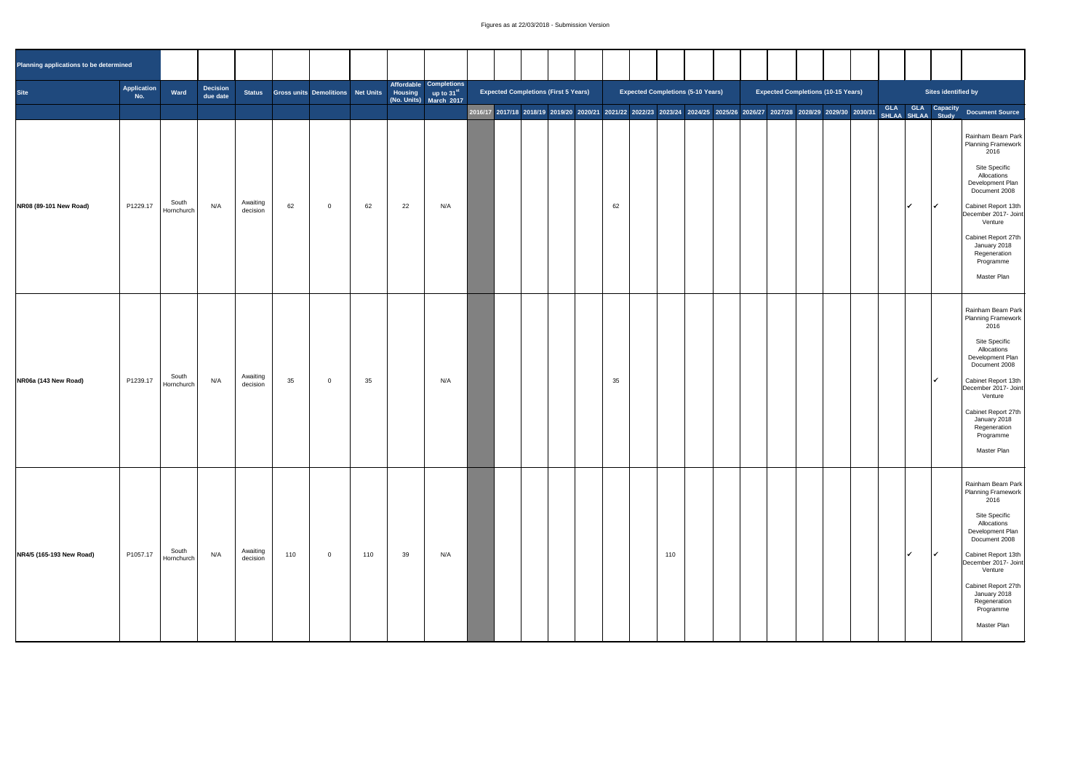| Planning applications to be determined |                    |                     |                             |                      |     |                                   |     |    |                                                                                           |  |                                                                                                                                                          |    |                                          |     |  |  |                                           |  |            |                                                                                                                                                                                                                                                                                 |
|----------------------------------------|--------------------|---------------------|-----------------------------|----------------------|-----|-----------------------------------|-----|----|-------------------------------------------------------------------------------------------|--|----------------------------------------------------------------------------------------------------------------------------------------------------------|----|------------------------------------------|-----|--|--|-------------------------------------------|--|------------|---------------------------------------------------------------------------------------------------------------------------------------------------------------------------------------------------------------------------------------------------------------------------------|
| <b>Site</b>                            | Application<br>No. | Ward                | <b>Decision</b><br>due date | <b>Status</b>        |     | Gross units Demolitions Net Units |     |    | Affordable Completions<br><b>Housing</b> up to 31 <sup>st</sup><br>(No. Units) March 2017 |  | <b>Expected Completions (First 5 Years)</b>                                                                                                              |    | <b>Expected Completions (5-10 Years)</b> |     |  |  | <b>Expected Completions (10-15 Years)</b> |  |            | Sites identified by                                                                                                                                                                                                                                                             |
|                                        |                    |                     |                             |                      |     |                                   |     |    |                                                                                           |  | 2016/17 2017/18 2018/19 2019/20 2020/21 2021/22 2022/23 2023/24 2024/25 2025/26 2026/27 2027/28 2028/29 2029/30 2030/31 GLA GLA Capacity Document Source |    |                                          |     |  |  |                                           |  |            |                                                                                                                                                                                                                                                                                 |
|                                        |                    |                     |                             |                      |     |                                   |     |    |                                                                                           |  |                                                                                                                                                          |    |                                          |     |  |  |                                           |  |            | Rainham Beam Park<br><b>Planning Framework</b><br>2016                                                                                                                                                                                                                          |
|                                        |                    |                     |                             |                      |     |                                   |     |    |                                                                                           |  |                                                                                                                                                          |    |                                          |     |  |  |                                           |  |            | <b>Site Specific</b><br>Allocations<br>Development Plan<br>Document 2008                                                                                                                                                                                                        |
| NR08 (89-101 New Road)                 | P1229.17           | South<br>Hornchurch | N/A                         | Awaiting<br>decision | 62  | $\overline{0}$                    | 62  | 22 | N/A                                                                                       |  |                                                                                                                                                          | 62 |                                          |     |  |  |                                           |  | $\sqrt{2}$ | Cabinet Report 13th<br>December 2017- Joint<br>Venture                                                                                                                                                                                                                          |
|                                        |                    |                     |                             |                      |     |                                   |     |    |                                                                                           |  |                                                                                                                                                          |    |                                          |     |  |  |                                           |  |            | Cabinet Report 27th<br>January 2018<br>Regeneration<br>Programme                                                                                                                                                                                                                |
|                                        |                    |                     |                             |                      |     |                                   |     |    |                                                                                           |  |                                                                                                                                                          |    |                                          |     |  |  |                                           |  |            | Master Plan                                                                                                                                                                                                                                                                     |
| NR06a (143 New Road)                   | P1239.17           | South<br>Hornchurch | N/A                         | Awaiting<br>decision | 35  | $\overline{0}$                    | 35  |    | N/A                                                                                       |  |                                                                                                                                                          | 35 |                                          |     |  |  |                                           |  | $\sqrt{ }$ | Rainham Beam Park<br><b>Planning Framework</b><br>2016<br><b>Site Specific</b><br>Allocations<br>Development Plan<br>Document 2008<br>Cabinet Report 13th<br>December 2017- Joint<br>Venture                                                                                    |
|                                        |                    |                     |                             |                      |     |                                   |     |    |                                                                                           |  |                                                                                                                                                          |    |                                          |     |  |  |                                           |  |            | Cabinet Report 27th<br>January 2018<br>Regeneration<br>Programme<br>Master Plan                                                                                                                                                                                                 |
| NR4/5 (165-193 New Road)               | P1057.17           | South<br>Hornchurch | N/A                         | Awaiting<br>decision | 110 | $\overline{0}$                    | 110 | 39 | N/A                                                                                       |  |                                                                                                                                                          |    |                                          | 110 |  |  |                                           |  | $\sqrt{ }$ | Rainham Beam Park<br><b>Planning Framework</b><br>2016<br><b>Site Specific</b><br>Allocations<br>Development Plan<br>Document 2008<br>Cabinet Report 13th<br>December 2017- Joint<br>Venture<br>Cabinet Report 27th<br>January 2018<br>Regeneration<br>Programme<br>Master Plan |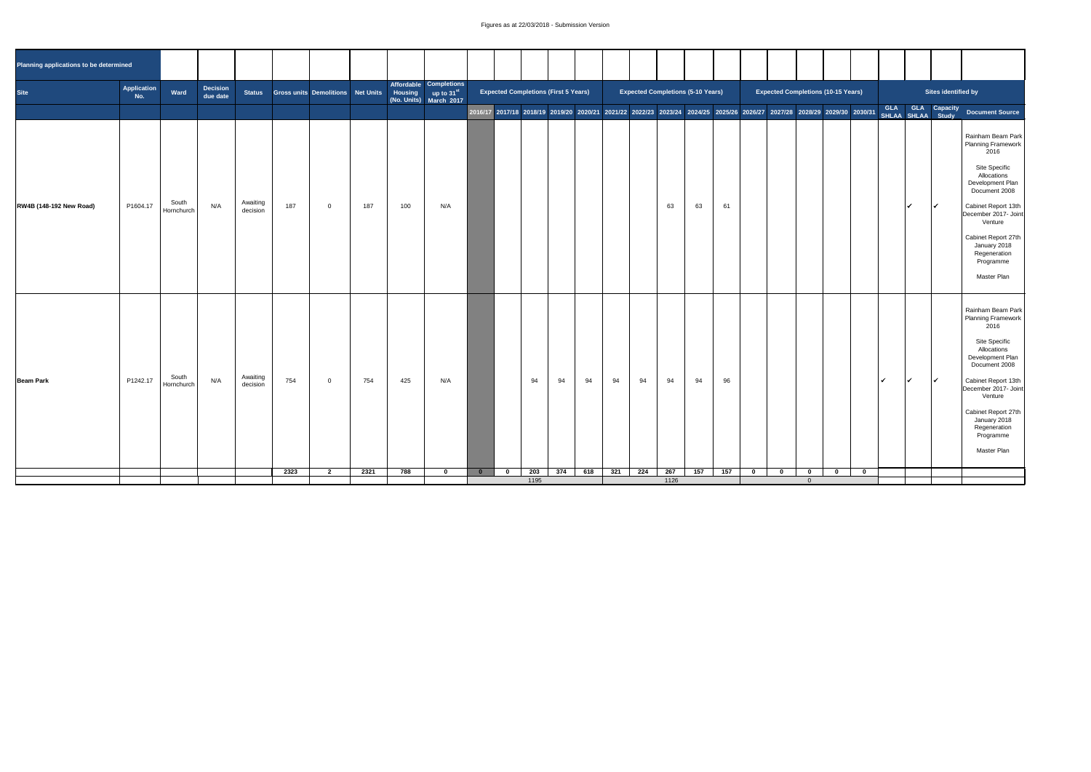| Planning applications to be determined |                                                           |                     |     |                      |      |                                   |      |     |                                                                                    |          |                         |      |                                             |     |     |                                          |      |     |     |          |                                           |  |                                                     |                                                                                                                                                                                                                                                                                                      |  |
|----------------------------------------|-----------------------------------------------------------|---------------------|-----|----------------------|------|-----------------------------------|------|-----|------------------------------------------------------------------------------------|----------|-------------------------|------|---------------------------------------------|-----|-----|------------------------------------------|------|-----|-----|----------|-------------------------------------------|--|-----------------------------------------------------|------------------------------------------------------------------------------------------------------------------------------------------------------------------------------------------------------------------------------------------------------------------------------------------------------|--|
| <b>Site</b>                            | Application<br><b>Decision</b><br>Ward<br>due date<br>No. |                     |     | <b>Status</b>        |      | Gross units Demolitions Net Units |      |     | Affordable Completions<br>Housing up to 31 <sup>st</sup><br>(No. Units) March 2017 |          |                         |      | <b>Expected Completions (First 5 Years)</b> |     |     | <b>Expected Completions (5-10 Years)</b> |      |     |     |          | <b>Expected Completions (10-15 Years)</b> |  |                                                     | Sites identified by                                                                                                                                                                                                                                                                                  |  |
|                                        |                                                           |                     |     |                      |      |                                   |      |     |                                                                                    |          |                         |      |                                             |     |     |                                          |      |     |     |          |                                           |  |                                                     | 2016/17 2017/18 2018/19 2019/20 2020/21 2021/22 2022/23 2023/24 2024/25 2025/26 2025/26 2027/28 2027/28 2029/30 2030/31 GLA GLA GLA Capacity Document Source                                                                                                                                         |  |
| <b>RW4B (148-192 New Road)</b>         | P1604.17                                                  | South<br>Hornchurch | N/A | Awaiting<br>decision | 187  | $\overline{0}$                    | 187  | 100 | N/A                                                                                |          |                         |      |                                             |     |     |                                          | 63   | 63  | 61  |          |                                           |  | $\sqrt{ }$                                          | <b>Rainham Beam Park</b><br><b>Planning Framework</b><br>2016<br><b>Site Specific</b><br>Allocations<br>Development Plan<br>Document 2008<br><b>Cabinet Report 13th</b><br>December 2017- Joint<br>Venture<br><b>Cabinet Report 27th</b><br>January 2018<br>Regeneration<br>Programme<br>Master Plan |  |
| <b>Beam Park</b>                       | P1242.17                                                  | South<br>Hornchurch | N/A | Awaiting<br>decision | 754  | $\overline{0}$                    | 754  | 425 | N/A                                                                                |          |                         | 94   | 94                                          | 94  | 94  | 94                                       | 94   | 94  | 96  |          |                                           |  | $\overline{\mathcal{A}}$<br>$\overline{\mathbf{v}}$ | Rainham Beam Park<br><b>Planning Framework</b><br>2016<br><b>Site Specific</b><br>Allocations<br>Development Plan<br>Document 2008<br>Cabinet Report 13th<br>December 2017- Joint<br>Venture<br><b>Cabinet Report 27th</b><br>January 2018<br>Regeneration<br>Programme<br>Master Plan               |  |
|                                        |                                                           |                     |     |                      | 2323 | $\bullet$                         | 2321 | 788 |                                                                                    | <b>0</b> | $\overline{\mathbf{0}}$ | 203  | 374                                         | 618 | 321 | 224                                      | 267  | 157 | 157 | $\bf{0}$ | $\bf{0}$<br>$\mathbf{0}$                  |  |                                                     |                                                                                                                                                                                                                                                                                                      |  |
|                                        |                                                           |                     |     |                      |      |                                   |      |     |                                                                                    |          |                         | 1195 |                                             |     |     |                                          | 1126 |     |     |          |                                           |  |                                                     |                                                                                                                                                                                                                                                                                                      |  |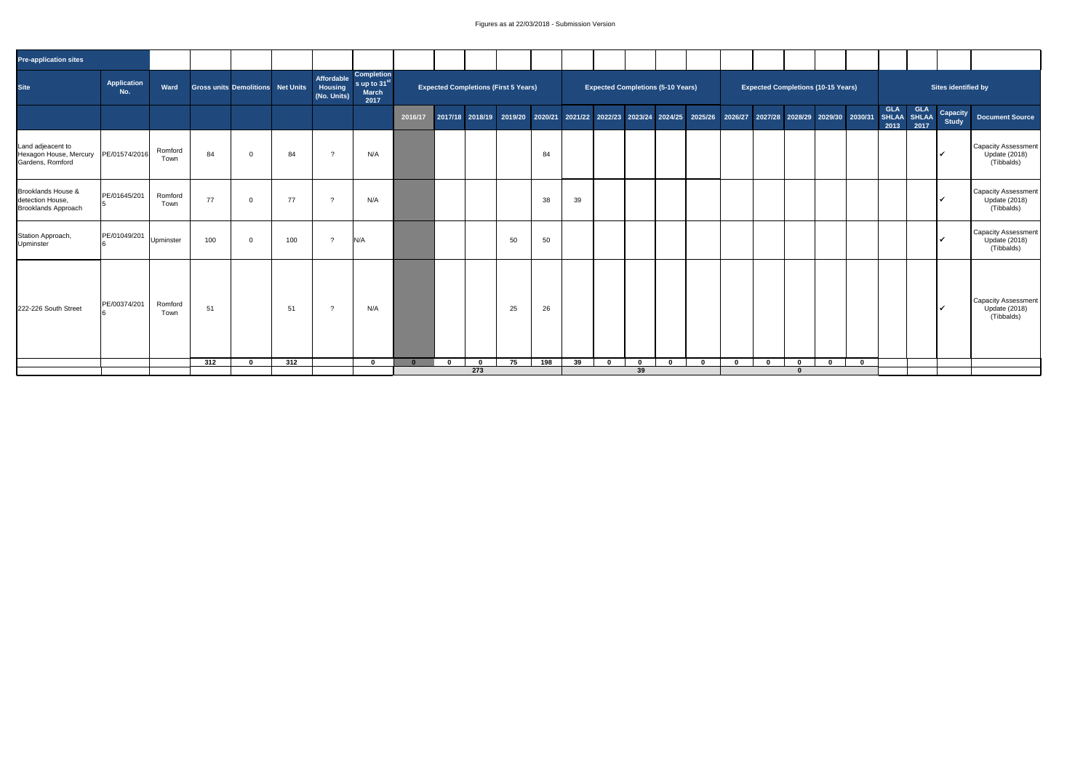| <b>Pre-application sites</b>                                             |                           |                 |     |                                   |     |                                      |                                                                       |         |             |             |                                             |     |    |             |             |                                          |              |                                                                                                                             |                                           |             |             |                    |                    |                                 |                                                             |
|--------------------------------------------------------------------------|---------------------------|-----------------|-----|-----------------------------------|-----|--------------------------------------|-----------------------------------------------------------------------|---------|-------------|-------------|---------------------------------------------|-----|----|-------------|-------------|------------------------------------------|--------------|-----------------------------------------------------------------------------------------------------------------------------|-------------------------------------------|-------------|-------------|--------------------|--------------------|---------------------------------|-------------------------------------------------------------|
| Site                                                                     | <b>Application</b><br>No. | Ward            |     | Gross units Demolitions Net Units |     | Affordable<br>Housing<br>(No. Units) | <b>Completion</b><br>s up to 31 <sup>st</sup><br><b>March</b><br>2017 |         |             |             | <b>Expected Completions (First 5 Years)</b> |     |    |             |             | <b>Expected Completions (5-10 Years)</b> |              |                                                                                                                             | <b>Expected Completions (10-15 Years)</b> |             |             |                    |                    | <b>Sites identified by</b>      |                                                             |
|                                                                          |                           |                 |     |                                   |     |                                      |                                                                       | 2016/17 |             |             |                                             |     |    |             |             |                                          |              | 2017/18 2018/19 2019/20 2020/21 2021/22 2022/23 2023/24 2024/25 2025/26 2026/27 2027/28 2028/29 2029/30 2030/31 SHLAA SHLAA |                                           |             |             | <b>GLA</b><br>2013 | <b>GLA</b><br>2017 | <b>Capacity</b><br><b>Study</b> | <b>Document Source</b>                                      |
| Land adjeacent to<br>Hexagon House, Mercury<br>Gardens, Romford          | PE/01574/2016             | Romford<br>Town | 84  |                                   | 84  |                                      | N/A                                                                   |         |             |             |                                             | 84  |    |             |             |                                          |              |                                                                                                                             |                                           |             |             |                    |                    |                                 | Capacity Assessment<br><b>Update (2018)</b><br>(Tibbalds)   |
| <b>Brooklands House &amp;</b><br>detection House,<br>Brooklands Approach | PE/01645/201              | Romford<br>Town | 77  |                                   | 77  |                                      | N/A                                                                   |         |             |             |                                             | 38  | 39 |             |             |                                          |              |                                                                                                                             |                                           |             |             |                    |                    |                                 | Capacity Assessment  <br><b>Update (2018)</b><br>(Tibbalds) |
| Station Approach,<br>Upminster                                           | PE/01049/201              | Upminster       | 100 |                                   | 100 | $\Omega$                             | N/A                                                                   |         |             |             | 50                                          | 50  |    |             |             |                                          |              |                                                                                                                             |                                           |             |             |                    |                    |                                 | Capacity Assessment  <br><b>Update (2018)</b><br>(Tibbalds) |
| 222-226 South Street                                                     | PE/00374/201              | Romford<br>Town | 51  |                                   | 51  |                                      | N/A                                                                   |         |             |             | 25                                          | 26  |    |             |             |                                          |              |                                                                                                                             |                                           |             |             |                    |                    |                                 | Capacity Assessment<br><b>Update (2018)</b><br>(Tibbalds)   |
|                                                                          |                           |                 | 312 | 0                                 | 312 |                                      | $\mathbf 0$                                                           |         | $\mathbf 0$ | $\mathbf 0$ | 75                                          | 198 | 39 | $\mathbf 0$ | $\mathbf 0$ | $\mathbf{0}$                             | $\mathbf{0}$ | $\mathbf 0$                                                                                                                 | $\mathbf 0$                               | $\mathbf 0$ | $\mathbf 0$ |                    |                    |                                 |                                                             |
|                                                                          |                           |                 |     |                                   |     |                                      |                                                                       |         |             | 273         |                                             |     |    |             | 39          |                                          |              |                                                                                                                             |                                           |             |             |                    |                    |                                 |                                                             |